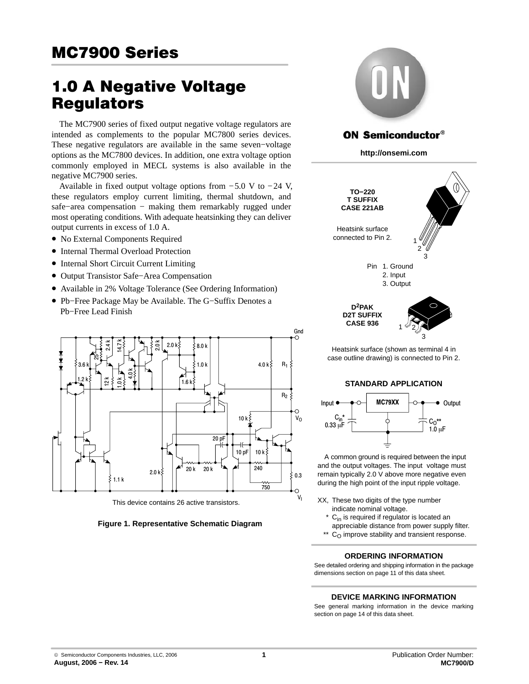## **MC7900 Series** <u>McCarlo Series (Series Series Series Series Series Series Series Series Series Series Series Series Series Se</u>

# 1.0 A Negative Voltage

The MC7900 series of fixed output negative voltage regulators are intended as complements to the popular MC7800 series devices. These negative regulators are available in the same seven−voltage options as the MC7800 devices. In addition, one extra voltage option commonly employed in MECL systems is also available in the negative MC7900 series.

Available in fixed output voltage options from −5.0 V to −24 V, these regulators employ current limiting, thermal shutdown, and safe–area compensation − making them remarkably rugged under most operating conditions. With adequate heatsinking they can deliver output currents in excess of 1.0 A.

- No External Components Required
- Internal Thermal Overload Protection
- Internal Short Circuit Current Limiting
- Output Transistor Safe−Area Compensation
- Available in 2% Voltage Tolerance (See Ordering Information)
- Pb−Free Package May be Available. The G−Suffix Denotes a Pb−Free Lead Finish



This device contains 26 active transistors.

#### **Figure 1. Representative Schematic Diagram**



## **ON Semiconductor®**

**http://onsemi.com**



Heatsink surface (shown as terminal 4 in case outline drawing) is connected to Pin 2.

#### **STANDARD APPLICATION**



A common ground is required between the input and the output voltages. The input voltage must remain typically 2.0 V above more negative even during the high point of the input ripple voltage.

- XX, These two digits of the type number indicate nominal voltage.
- C<sub>in</sub> is required if regulator is located an appreciable distance from power supply filter. \*\*
- \*\*  $C_O$  improve stability and transient response.

#### **ORDERING INFORMATION**

See detailed ordering and shipping information in the package dimensions section on page [11 of this data sheet.](#page-10-0)

#### **DEVICE MARKING INFORMATION**

See general marking information in the device marking section on page [14 of this data sheet.](#page-13-0)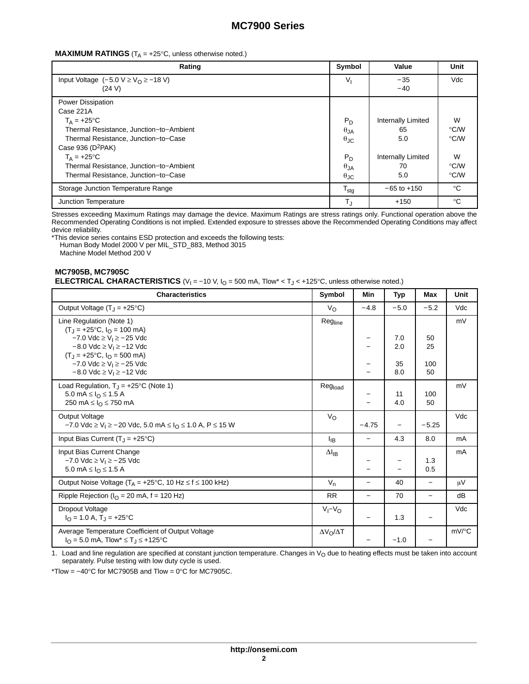#### **MAXIMUM RATINGS** ( $T_A = +25^\circ C$ , unless otherwise noted.)

| Rating                                                                                                                                                   | Symbol                                                | Value                                                 | Unit                                     |
|----------------------------------------------------------------------------------------------------------------------------------------------------------|-------------------------------------------------------|-------------------------------------------------------|------------------------------------------|
| Input Voltage $(-5.0 \text{ V} \geq V_0 \geq -18 \text{ V})$<br>(24 V)                                                                                   | V <sub>1</sub>                                        | $-35$<br>$-40$                                        | Vdc                                      |
| Power Dissipation<br>Case 221A                                                                                                                           |                                                       |                                                       |                                          |
| $T_A = +25^{\circ}C$<br>Thermal Resistance, Junction-to-Ambient<br>Thermal Resistance, Junction-to-Case<br>Case 936 ( $D^2PAK$ )<br>$T_A = +25^{\circ}C$ | $P_D$<br>$\theta$ JA<br>$\theta_{\text{JC}}$<br>$P_D$ | Internally Limited<br>65<br>5.0<br>Internally Limited | W<br>$\degree$ C/W<br>$\degree$ C/W<br>W |
| Thermal Resistance, Junction-to-Ambient<br>Thermal Resistance, Junction-to-Case                                                                          | $\theta_{JA}$<br>$\theta_{\text{JC}}$                 | 70<br>5.0                                             | $\degree$ C/W<br>°C/W                    |
| Storage Junction Temperature Range                                                                                                                       | $T_{\text{stg}}$                                      | $-65$ to $+150$                                       | $^{\circ}$ C                             |
| Junction Temperature                                                                                                                                     | $T_{J}$                                               | $+150$                                                | $^{\circ}C$                              |

Stresses exceeding Maximum Ratings may damage the device. Maximum Ratings are stress ratings only. Functional operation above the Recommended Operating Conditions is not implied. Extended exposure to stresses above the Recommended Operating Conditions may affect device reliability.

\*This device series contains ESD protection and exceeds the following tests: Human Body Model 2000 V per MIL\_STD\_883, Method 3015 Machine Model Method 200 V

## **MC7905B, MC7905C ELECTRICAL CHARACTERISTICS** (V<sub>I</sub> = −10 V, I<sub>O</sub> = 500 mA, Tlow\* < T<sub>J</sub> < +125°C, unless otherwise noted.)

| <b>Characteristics</b>                                                                                                                                      | Symbol                 | Min                      | Typ        | Max                      | Unit                |
|-------------------------------------------------------------------------------------------------------------------------------------------------------------|------------------------|--------------------------|------------|--------------------------|---------------------|
| Output Voltage $(T_1 = +25^{\circ}C)$                                                                                                                       | $V_{\rm O}$            | $-4.8$                   | $-5.0$     | $-5.2$                   | Vdc                 |
| Line Regulation (Note 1)<br>$(T_J = +25$ °C, $I_O = 100$ mA)                                                                                                | Regline                |                          |            |                          | mV                  |
| $-7.0$ Vdc $\geq$ V <sub>i</sub> $\geq$ $-25$ Vdc<br>$-8.0$ Vdc $\geq$ V <sub>1</sub> $\geq$ -12 Vdc<br>$(T_1 = +25^{\circ}C, I_{\Omega} = 500 \text{ mA})$ |                        |                          | 7.0<br>2.0 | 50<br>25                 |                     |
| $-7.0$ Vdc $\geq$ V <sub>i</sub> $\geq$ $-25$ Vdc<br>$-8.0$ Vdc $\geq$ V <sub>1</sub> $\geq -12$ Vdc                                                        |                        |                          | 35<br>8.0  | 100<br>50                |                     |
| Load Regulation, $T_J = +25$ °C (Note 1)<br>5.0 mA ≤ $IΩ$ ≤ 1.5 A<br>250 mA $\leq$ $IQ$ $\leq$ 750 mA                                                       | Regload                |                          | 11<br>4.0  | 100<br>50                | mV                  |
| Output Voltage<br>$-7.0$ Vdc $\geq$ V <sub>1</sub> $\geq$ - 20 Vdc, 5.0 mA $\leq$ I <sub>O</sub> $\leq$ 1.0 A, P $\leq$ 15 W                                | $V_{\rm O}$            | $-4.75$                  |            | $-5.25$                  | Vdc                 |
| Input Bias Current $(T_1 = +25^{\circ}C)$                                                                                                                   | <b>I</b> <sub>IB</sub> | $\overline{\phantom{m}}$ | 4.3        | 8.0                      | mA                  |
| Input Bias Current Change<br>$-7.0$ Vdc $\geq$ V <sub>1</sub> $\geq$ $-25$ Vdc<br>5.0 mA $\leq$ $I_{\Omega}$ $\leq$ 1.5 A                                   | $\Delta I_{IB}$        |                          |            | 1.3<br>0.5               | mA                  |
| Output Noise Voltage ( $T_A = +25$ °C, 10 Hz $\leq f \leq 100$ kHz)                                                                                         | $V_{n}$                | $\qquad \qquad -$        | 40         | $\overline{\phantom{0}}$ | μV                  |
| Ripple Rejection ( $IO$ = 20 mA, f = 120 Hz)                                                                                                                | <b>RR</b>              |                          | 70         | $\overline{\phantom{0}}$ | dB                  |
| Dropout Voltage<br>$I_{\Omega}$ = 1.0 A, T <sub>J</sub> = +25°C                                                                                             | $V_I - V_O$            |                          | 1.3        | $\overline{\phantom{0}}$ | Vdc                 |
| Average Temperature Coefficient of Output Voltage<br>$I_{\Omega} = 5.0$ mA, Tlow <sup>*</sup> $\leq T_{\text{I}} \leq +125$ °C                              | $\Delta V_O/\Delta T$  |                          | $-1.0$     |                          | $mV$ <sup>o</sup> C |

 $1.$  Load and line regulation are specified at constant junction temperature. Changes in  $V_O$  due to heating effects must be taken into account separately. Pulse testing with low duty cycle is used.

\*Tlow =  $-40^{\circ}$ C for MC7905B and Tlow =  $0^{\circ}$ C for MC7905C.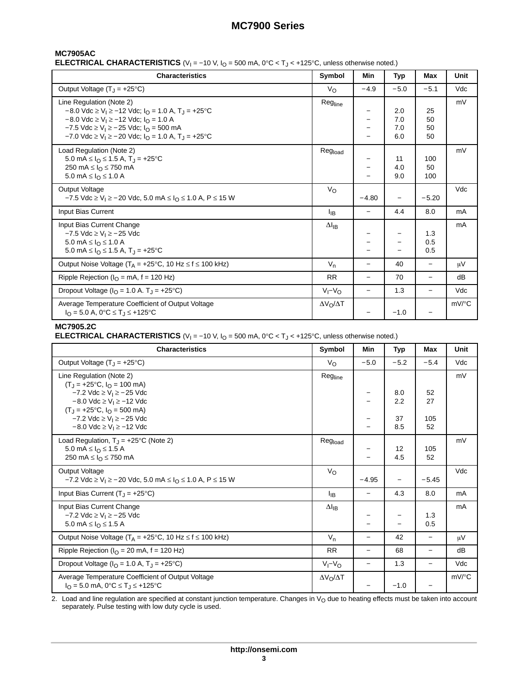## **MC7905AC**

**ELECTRICAL CHARACTERISTICS** (V<sub>I</sub> = −10 V, I<sub>O</sub> = 500 mA, 0°C < T<sub>J</sub> < +125°C, unless otherwise noted.)

| <b>Characteristics</b>                                                                                                                                                                                                                                                                                                                                                                            | Symbol                | Min                      | Typ                      | Max                  | Unit                |
|---------------------------------------------------------------------------------------------------------------------------------------------------------------------------------------------------------------------------------------------------------------------------------------------------------------------------------------------------------------------------------------------------|-----------------------|--------------------------|--------------------------|----------------------|---------------------|
| Output Voltage $(T_1 = +25^{\circ}C)$                                                                                                                                                                                                                                                                                                                                                             | $V_{\rm O}$           | $-4.9$                   | $-5.0$                   | $-5.1$               | Vdc                 |
| Line Regulation (Note 2)<br>$-8.0$ Vdc $\geq$ V <sub>1</sub> $\geq$ -12 Vdc; I <sub>O</sub> = 1.0 A, T <sub>1</sub> = +25 °C<br>$-8.0$ Vdc $\geq$ V <sub>1</sub> $\geq$ -12 Vdc; I <sub>O</sub> = 1.0 A<br>$-7.5$ Vdc $\geq$ V <sub>1</sub> $\geq$ - 25 Vdc; $I_{\Omega}$ = 500 mA<br>$-7.0$ Vdc $\geq$ V <sub>1</sub> $\geq$ - 20 Vdc; $I_{\Omega}$ = 1.0 A, T <sub>1</sub> = +25 <sup>o</sup> C | Regline               | -                        | 2.0<br>7.0<br>7.0<br>6.0 | 25<br>50<br>50<br>50 | mV                  |
| Load Regulation (Note 2)<br>5.0 mA $\leq$ $I_{\odot}$ $\leq$ 1.5 A, T <sub>J</sub> = +25 °C<br>250 mA $\leq$ $IQ$ $\leq$ 750 mA<br>5.0 mA $\leq$ $I_{\Omega}$ $\leq$ 1.0 A                                                                                                                                                                                                                        | Regload               |                          | 11<br>4.0<br>9.0         | 100<br>50<br>100     | mV                  |
| <b>Output Voltage</b><br>$-7.5$ Vdc ≥ V <sub>1</sub> ≥ $-20$ Vdc, 5.0 mA ≤ I <sub>O</sub> ≤ 1.0 A, P ≤ 15 W                                                                                                                                                                                                                                                                                       | $V_{\rm O}$           | $-4.80$                  |                          | $-5.20$              | Vdc                 |
| Input Bias Current                                                                                                                                                                                                                                                                                                                                                                                | Iв                    | $\overline{\phantom{0}}$ | 4.4                      | 8.0                  | mA                  |
| Input Bias Current Change<br>$-7.5$ Vdc ≥ V <sub>I</sub> ≥ $-25$ Vdc<br>5.0 mA ≤ $IΩ$ ≤ 1.0 A<br>5.0 mA $\leq$ $I_{\text{O}} \leq$ 1.5 A, T <sub>J</sub> = +25°C                                                                                                                                                                                                                                  | $\Delta I_{IB}$       |                          |                          | 1.3<br>0.5<br>0.5    | mA                  |
| Output Noise Voltage ( $T_A = +25^{\circ}C$ , 10 Hz $\leq f \leq 100$ kHz)                                                                                                                                                                                                                                                                                                                        | $V_n$                 | $\overline{\phantom{0}}$ | 40                       |                      | μV                  |
| Ripple Rejection ( $I_{\Omega}$ = mA, f = 120 Hz)                                                                                                                                                                                                                                                                                                                                                 | <b>RR</b>             | $\overline{\phantom{0}}$ | 70                       | $\equiv$             | dB                  |
| Dropout Voltage ( $IO$ = 1.0 A. T <sub>.I</sub> = +25 <sup>o</sup> C)                                                                                                                                                                                                                                                                                                                             | $V_I - V_O$           | $\overline{\phantom{0}}$ | 1.3                      |                      | Vdc                 |
| Average Temperature Coefficient of Output Voltage<br>$I_{\Omega} = 5.0$ A, 0°C $\leq T_{\text{I}} \leq +125$ °C                                                                                                                                                                                                                                                                                   | $\Delta V_O/\Delta T$ |                          | $-1.0$                   |                      | $mV$ <sup>o</sup> C |

#### **MC7905.2C**

**ELECTRICAL CHARACTERISTICS** (V<sub>I</sub> = −10 V, I<sub>O</sub> = 500 mA, 0°C < T<sub>J</sub> < +125°C, unless otherwise noted.)

| <b>Characteristics</b>                                                                                                                              | Symbol                | Min                      | Typ        | Max                      | Unit     |
|-----------------------------------------------------------------------------------------------------------------------------------------------------|-----------------------|--------------------------|------------|--------------------------|----------|
| Output Voltage $(T_1 = +25^{\circ}C)$                                                                                                               | $V_{\rm O}$           | $-5.0$                   | $-5.2$     | $-5.4$                   | Vdc      |
| Line Regulation (Note 2)<br>$(T_J = +25$ °C, $I_O = 100$ mA)                                                                                        | Regline               |                          |            |                          | mV       |
| $-7.2$ Vdc $\geq$ V <sub>1</sub> $\geq$ $-25$ Vdc<br>$-8.0$ Vdc $\geq$ V <sub>1</sub> $\geq$ -12 Vdc                                                |                       |                          | 8.0<br>2.2 | 52<br>27                 |          |
| $(T_1 = +25^{\circ}C, I_0 = 500 \text{ mA})$<br>$-7.2$ Vdc $\geq$ V <sub>1</sub> $\geq$ - 25 Vdc<br>$-8.0$ Vdc $\geq$ V <sub>1</sub> $\geq$ -12 Vdc |                       |                          | 37<br>8.5  | 105<br>52                |          |
| Load Regulation, $T_J = +25^{\circ}C$ (Note 2)<br>5.0 mA $\leq$ $I_{\Omega}$ $\leq$ 1.5 A<br>250 mA $\leq$ $IQ \leq$ 750 mA                         | Regload               |                          | 12<br>4.5  | 105<br>52                | mV       |
| <b>Output Voltage</b><br>$-7.2$ Vdc $\geq$ V <sub>I</sub> $\geq$ - 20 Vdc, 5.0 mA $\leq$ I <sub>O</sub> $\leq$ 1.0 A, P $\leq$ 15 W                 | $V_{\rm O}$           | $-4.95$                  |            | $-5.45$                  | Vdc      |
| Input Bias Current $(T_J = +25^{\circ}C)$                                                                                                           | ŀв                    | —                        | 4.3        | 8.0                      | mA       |
| Input Bias Current Change<br>$-7.2$ Vdc $\geq$ V <sub>1</sub> $\geq$ $-25$ Vdc<br>5.0 mA $\leq$ $I_{\Omega}$ $\leq$ 1.5 A                           | $\Delta I_{IB}$       |                          |            | 1.3<br>0.5               | mA       |
| Output Noise Voltage ( $T_A$ = +25°C, 10 Hz $\leq$ f $\leq$ 100 kHz)                                                                                | $V_{n}$               | $\qquad \qquad -$        | 42         | $\overline{\phantom{0}}$ | $\mu$ V  |
| Ripple Rejection ( $I_{\Omega}$ = 20 mA, f = 120 Hz)                                                                                                | <b>RR</b>             | $\overline{\phantom{0}}$ | 68         | $\overline{\phantom{0}}$ | dB       |
| Dropout Voltage ( $IO$ = 1.0 A, T <sub>J</sub> = +25 <sup>o</sup> C)                                                                                | $V_I - V_O$           | $\qquad \qquad -$        | 1.3        | $\overline{\phantom{0}}$ | Vdc      |
| Average Temperature Coefficient of Output Voltage<br>$I_{\Omega} = 5.0$ mA, $0^{\circ}C \le T_{\Omega} \le +125^{\circ}C$                           | $\Delta V_O/\Delta T$ |                          | $-1.0$     |                          | $mV$ /°C |

2. Load and line regulation are specified at constant junction temperature. Changes in V<sub>O</sub> due to heating effects must be taken into account<br>separately. Pulse testing with low duty cycle is used.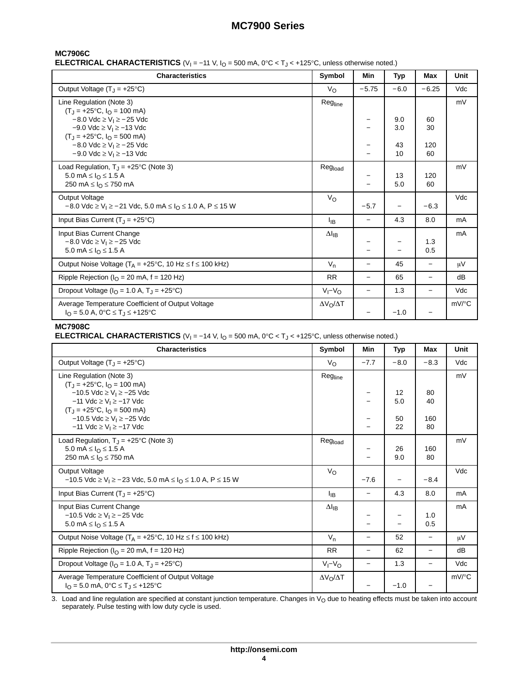## **MC7906C**

**ELECTRICAL CHARACTERISTICS** (V<sub>I</sub> = −11 V, I<sub>O</sub> = 500 mA, 0°C < T<sub>J</sub> < +125°C, unless otherwise noted.)

| <b>Characteristics</b>                                                                                                                              | Symbol                | Min                      | Typ                      | Max                      | Unit                |
|-----------------------------------------------------------------------------------------------------------------------------------------------------|-----------------------|--------------------------|--------------------------|--------------------------|---------------------|
| Output Voltage $(T_1 = +25^{\circ}C)$                                                                                                               | $V_{\rm O}$           | $-5.75$                  | $-6.0$                   | $-6.25$                  | Vdc                 |
| Line Regulation (Note 3)<br>$(T_1 = +25^{\circ}C, I_0 = 100 \text{ mA})$                                                                            | Regline               |                          |                          |                          | mV                  |
| $-8.0$ Vdc $\geq$ V <sub>1</sub> $\geq$ - 25 Vdc<br>$-9.0$ Vdc $\geq$ V <sub>1</sub> $\geq$ -13 Vdc<br>$(T_J = +25^{\circ}C, I_O = 500 \text{ mA})$ |                       |                          | 9.0<br>3.0               | 60<br>30                 |                     |
| $-8.0$ Vdc $\geq$ V <sub>1</sub> $\geq$ - 25 Vdc<br>$-9.0$ Vdc $\geq$ V <sub>1</sub> $\geq$ -13 Vdc                                                 |                       |                          | 43<br>10                 | 120<br>60                |                     |
| Load Regulation, $T_J = +25^{\circ}C$ (Note 3)<br>5.0 mA $\leq$ $I_{\odot}$ $\leq$ 1.5 A<br>250 mA $\leq$ $IQ$ $\leq$ 750 mA                        | Regload               |                          | 13<br>5.0                | 120<br>60                | mV                  |
| <b>Output Voltage</b><br>$-8.0$ Vdc $\geq$ V <sub>1</sub> $\geq$ - 21 Vdc, 5.0 mA $\leq$ I <sub>O</sub> $\leq$ 1.0 A, P $\leq$ 15 W                 | Vo                    | $-5.7$                   | $\overline{\phantom{0}}$ | $-6.3$                   | Vdc                 |
| Input Bias Current $(T_J = +25^{\circ}C)$                                                                                                           | ŀв                    | $\overline{\phantom{0}}$ | 4.3                      | 8.0                      | mA                  |
| Input Bias Current Change<br>$-8.0$ Vdc $\geq$ V <sub>1</sub> $\geq$ $-25$ Vdc<br>5.0 mA $\leq I_{\Omega} \leq 1.5$ A                               | $\Delta I_{IB}$       |                          |                          | 1.3<br>0.5               | mA                  |
| Output Noise Voltage ( $T_A = +25$ °C, 10 Hz $\leq f \leq 100$ kHz)                                                                                 | $V_n$                 | $\qquad \qquad -$        | 45                       | $\overline{\phantom{0}}$ | μV                  |
| Ripple Rejection ( $IO$ = 20 mA, f = 120 Hz)                                                                                                        | <b>RR</b>             | $\overline{\phantom{0}}$ | 65                       | $\overline{\phantom{0}}$ | dB                  |
| Dropout Voltage ( $IO$ = 1.0 A, T <sub>J</sub> = +25 <sup>o</sup> C)                                                                                | $V_I - V_O$           | $\qquad \qquad -$        | 1.3                      | $\qquad \qquad -$        | Vdc                 |
| Average Temperature Coefficient of Output Voltage<br>$I_{\Omega} = 5.0$ A, 0°C $\leq$ T <sub>J</sub> $\leq$ +125°C                                  | $\Delta V_O/\Delta T$ |                          | $-1.0$                   |                          | $mV$ <sup>o</sup> C |

## **MC7908C**

**ELECTRICAL CHARACTERISTICS** (V<sub>I</sub> = −14 V, I<sub>O</sub> = 500 mA, 0°C < T<sub>J</sub> < +125°C, unless otherwise noted.)

| <b>Characteristics</b>                                                                                                                     | Symbol                | Min                      | Typ       | Max                      | Unit     |
|--------------------------------------------------------------------------------------------------------------------------------------------|-----------------------|--------------------------|-----------|--------------------------|----------|
| Output Voltage $(T_1 = +25^{\circ}C)$                                                                                                      | $V_{\rm O}$           | $-7.7$                   | $-8.0$    | $-8.3$                   | Vdc      |
| Line Regulation (Note 3)<br>$(T_J = +25^{\circ}C, I_O = 100 \text{ mA})$                                                                   | Regline               |                          |           |                          | mV       |
| $-10.5$ Vdc $\geq$ V <sub>1</sub> $\geq$ -25 Vdc<br>$-11$ Vdc $\geq$ V <sub>1</sub> $\geq$ $-17$ Vdc                                       |                       |                          | 12<br>5.0 | 80<br>40                 |          |
| $(T_1 = +25^{\circ}C, I_0 = 500 \text{ mA})$<br>$-10.5$ Vdc $\geq$ V <sub>1</sub> $\geq$ -25 Vdc<br>$-11$ Vdc ≥ V <sub>I</sub> ≥ $-17$ Vdc |                       |                          | 50<br>22  | 160<br>80                |          |
| Load Regulation, $T_J = +25^{\circ}C$ (Note 3)<br>5.0 mA ≤ $I_0$ ≤ 1.5 A<br>250 mA $\leq$ $IQ \leq$ 750 mA                                 | Regload               |                          | 26<br>9.0 | 160<br>80                | mV       |
| <b>Output Voltage</b><br>$-10.5$ Vdc $\geq$ V <sub>1</sub> $\geq$ - 23 Vdc, 5.0 mA $\leq$ I <sub>O</sub> $\leq$ 1.0 A, P $\leq$ 15 W       | Vo                    | $-7.6$                   |           | $-8.4$                   | Vdc      |
| Input Bias Current $(T_1 = +25^{\circ}C)$                                                                                                  | ŀв                    | $\qquad \qquad -$        | 4.3       | 8.0                      | mA       |
| Input Bias Current Change<br>$-10.5$ Vdc $\geq$ V <sub>1</sub> $\geq$ -25 Vdc<br>5.0 mA ≤ $IΩ$ ≤ 1.5 A                                     | $\Delta I_{IB}$       |                          |           | 1.0<br>0.5               | mA       |
| Output Noise Voltage ( $T_A = +25^{\circ}C$ , 10 Hz $\leq f \leq 100$ kHz)                                                                 | $V_{n}$               | —                        | 52        | $\overline{\phantom{0}}$ | μV       |
| Ripple Rejection ( $I_{\Omega}$ = 20 mA, f = 120 Hz)                                                                                       | <b>RR</b>             | $\qquad \qquad -$        | 62        | $\overline{\phantom{0}}$ | dB       |
| Dropout Voltage ( $IO$ = 1.0 A, T <sub>J</sub> = +25 <sup>o</sup> C)                                                                       | $V_I - V_O$           | $\overline{\phantom{m}}$ | 1.3       |                          | Vdc      |
| Average Temperature Coefficient of Output Voltage<br>$I_{\Omega} = 5.0$ mA, $0^{\circ}C \le T_{\text{J}} \le +125^{\circ}C$                | $\Delta V_O/\Delta T$ |                          | $-1.0$    |                          | $mV$ /°C |

3. Load and line regulation are specified at constant junction temperature. Changes in V<sub>O</sub> due to heating effects must be taken into account<br>separately. Pulse testing with low duty cycle is used.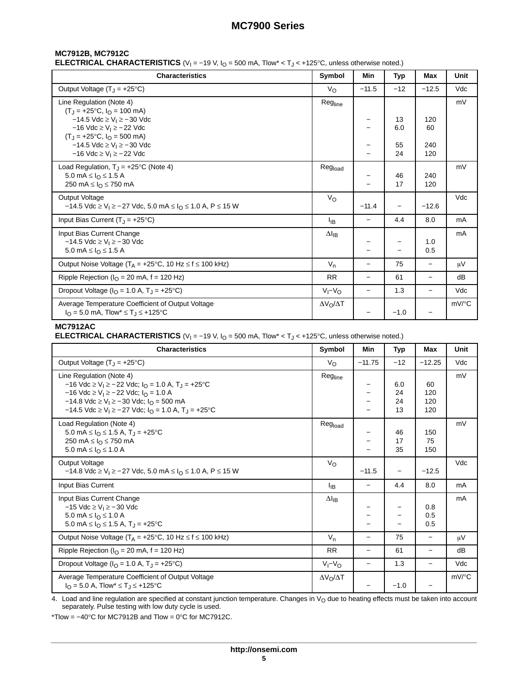## **MC7912B, MC7912C**

**ELECTRICAL CHARACTERISTICS** (V<sub>I</sub> = −19 V, I<sub>O</sub> = 500 mA, Tlow\* < T<sub>J</sub> < +125°C, unless otherwise noted.)

| <b>Characteristics</b>                                                                                                             | Symbol                  | Min                      | <b>Typ</b> | Max                      | Unit                |
|------------------------------------------------------------------------------------------------------------------------------------|-------------------------|--------------------------|------------|--------------------------|---------------------|
| Output Voltage $(T_1 = +25^{\circ}C)$                                                                                              | $V_{\rm O}$             | $-11.5$                  | $-12$      | $-12.5$                  | Vdc                 |
| Line Regulation (Note 4)<br>$(T.1 = +25°C, IO = 100 mA)$                                                                           | Regline                 |                          |            |                          | mV                  |
| $-14.5$ Vdc ≥ V <sub>1</sub> ≥ $-30$ Vdc<br>$-16$ Vdc ≥ V <sub>i</sub> ≥ $-22$ Vdc<br>$(T_J = +25^{\circ}C, I_O = 500 \text{ mA})$ |                         |                          | 13<br>6.0  | 120<br>60                |                     |
| $-14.5$ Vdc ≥ V <sub>I</sub> ≥ $-30$ Vdc<br>$-16$ Vdc ≥ V <sub>i</sub> ≥ $-22$ Vdc                                                 |                         |                          | 55<br>24   | 240<br>120               |                     |
| Load Regulation, $T_J = +25^{\circ}C$ (Note 4)<br>5.0 mA ≤ $I_0$ ≤ 1.5 A<br>250 mA $\leq$ $IQ$ $\leq$ 750 mA                       | Regload                 |                          | 46<br>17   | 240<br>120               | mV                  |
| <b>Output Voltage</b><br>$-14.5$ Vdc ≥ V <sub>1</sub> ≥ $-27$ Vdc, 5.0 mA ≤ I <sub>O</sub> ≤ 1.0 A, P ≤ 15 W                       | $V_{\rm O}$             | $-11.4$                  |            | $-12.6$                  | Vdc                 |
| Input Bias Current $(T_1 = +25^{\circ}C)$                                                                                          | Iв                      |                          | 4.4        | 8.0                      | mA                  |
| Input Bias Current Change<br>$-14.5$ Vdc $\geq$ V <sub>1</sub> $\geq$ -30 Vdc<br>5.0 mA $\leq$ $I_{\odot}$ $\leq$ 1.5 A            | $\Delta I_{IB}$         |                          |            | 1.0<br>0.5               | mA                  |
| Output Noise Voltage ( $T_A = +25$ °C, 10 Hz $\leq f \leq 100$ kHz)                                                                | $V_{n}$                 | $\overline{\phantom{0}}$ | 75         | $\overline{\phantom{0}}$ | μV                  |
| Ripple Rejection ( $I_{\Omega}$ = 20 mA, f = 120 Hz)                                                                               | <b>RR</b>               | —                        | 61         |                          | dB                  |
| Dropout Voltage ( $I_{\Omega}$ = 1.0 A, T <sub>J</sub> = +25°C)                                                                    | $V_I - V_O$             | $\overline{\phantom{0}}$ | 1.3        | $\overline{\phantom{0}}$ | Vdc                 |
| Average Temperature Coefficient of Output Voltage<br>$I_{\Omega}$ = 5.0 mA, Tlow <sup>*</sup> $\leq$ T <sub>J</sub> $\leq$ +125°C  | $\Delta V_O / \Delta T$ |                          | $-1.0$     |                          | $mV$ <sup>o</sup> C |

#### **MC7912AC**

**ELECTRICAL CHARACTERISTICS** (V<sub>I</sub> = −19 V, I<sub>O</sub> = 500 mA, Tlow\* < T<sub>J</sub> < +125°C, unless otherwise noted.)

| <b>Characteristics</b>                                                                                                                                                                                                                                                                                                                                                 | Symbol                | Min                      | Typ                   | Max                      | Unit     |
|------------------------------------------------------------------------------------------------------------------------------------------------------------------------------------------------------------------------------------------------------------------------------------------------------------------------------------------------------------------------|-----------------------|--------------------------|-----------------------|--------------------------|----------|
| Output Voltage $(T_1 = +25^{\circ}C)$                                                                                                                                                                                                                                                                                                                                  | $V_{\Omega}$          | $-11.75$                 | $-12$                 | $-12.25$                 | Vdc      |
| Line Regulation (Note 4)<br>$-16$ Vdc ≥ V <sub>I</sub> ≥ $-22$ Vdc; I <sub>O</sub> = 1.0 A, T <sub>J</sub> = +25 °C<br>$-16$ Vdc ≥ V <sub>I</sub> ≥ $-22$ Vdc; I <sub>O</sub> = 1.0 A<br>$-14.8$ Vdc $\geq$ V <sub>I</sub> $\geq$ -30 Vdc; I <sub>O</sub> = 500 mA<br>$-14.5$ Vdc $\geq$ V <sub>1</sub> $\geq$ - 27 Vdc; $I_{\Omega}$ = 1.0 A, T <sub>1</sub> = +25 °C | Regline               |                          | 6.0<br>24<br>24<br>13 | 60<br>120<br>120<br>120  | mV       |
| Load Regulation (Note 4)<br>5.0 mA $\leq$ $I_{\odot}$ $\leq$ 1.5 A, T <sub>J</sub> = +25°C<br>250 mA ≤ $IO$ ≤ 750 mA<br>5.0 mA ≤ $IΩ$ ≤ 1.0 A                                                                                                                                                                                                                          | Regload               |                          | 46<br>17<br>35        | 150<br>75<br>150         | mV       |
| <b>Output Voltage</b><br>$-14.8$ Vdc ≥ V <sub>1</sub> ≥ $-27$ Vdc, 5.0 mA ≤ I <sub>O</sub> ≤ 1.0 A, P ≤ 15 W                                                                                                                                                                                                                                                           | $V_{\rm O}$           | $-11.5$                  |                       | $-12.5$                  | Vdc      |
| Input Bias Current                                                                                                                                                                                                                                                                                                                                                     | ŀв                    |                          | 4.4                   | 8.0                      | mA       |
| Input Bias Current Change<br>$-15$ Vdc ≥ V <sub>I</sub> ≥ $-30$ Vdc<br>5.0 mA ≤ $IΩ$ ≤ 1.0 A<br>5.0 mA $\leq$ $I_{\Omega} \leq$ 1.5 A, T <sub>J</sub> = +25 °C                                                                                                                                                                                                         | $\Delta I_{IB}$       |                          |                       | 0.8<br>0.5<br>0.5        | mA       |
| Output Noise Voltage ( $T_A$ = +25°C, 10 Hz $\leq$ f $\leq$ 100 kHz)                                                                                                                                                                                                                                                                                                   | $V_n$                 | $\overline{\phantom{0}}$ | 75                    |                          | μV       |
| Ripple Rejection ( $IO$ = 20 mA, f = 120 Hz)                                                                                                                                                                                                                                                                                                                           | <b>RR</b>             | $\overline{\phantom{0}}$ | 61                    |                          | dB       |
| Dropout Voltage ( $IO = 1.0$ A, $TJ = +25$ °C)                                                                                                                                                                                                                                                                                                                         | $V_I - V_O$           | —                        | 1.3                   | $\overline{\phantom{0}}$ | Vdc      |
| Average Temperature Coefficient of Output Voltage<br>$I_{\Omega} = 5.0$ A, Tlow <sup>*</sup> $\leq T_{\text{J}} \leq +125$ °C                                                                                                                                                                                                                                          | $\Delta V_O/\Delta T$ |                          | $-1.0$                |                          | $mV$ /°C |

4. Load and line regulation are specified at constant junction temperature. Changes in V<sub>O</sub> due to heating effects must be taken into account<br>separately. Pulse testing with low duty cycle is used.

\*Tlow = −40°C for MC7912B and Tlow = 0°C for MC7912C.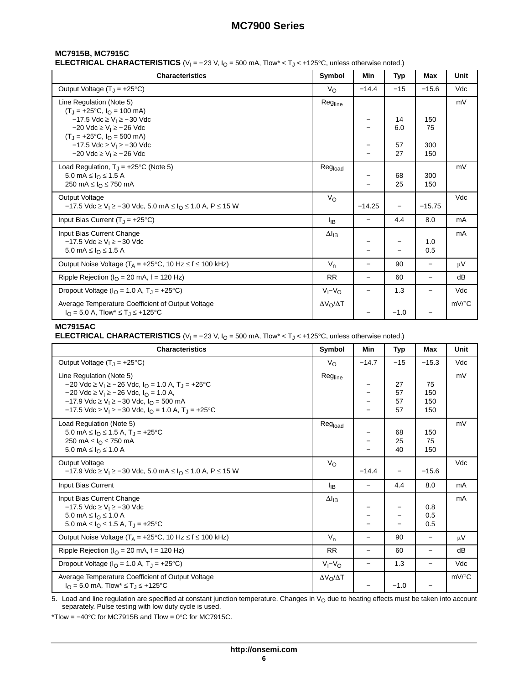## **MC7915B, MC7915C**

**ELECTRICAL CHARACTERISTICS** (V<sub>I</sub> = −23 V, I<sub>O</sub> = 500 mA, Tlow\* < T<sub>J</sub> < +125°C, unless otherwise noted.)

| <b>Characteristics</b>                                                                                                                               | Symbol                | Min                      | <b>Typ</b>               | Max                      | Unit                |
|------------------------------------------------------------------------------------------------------------------------------------------------------|-----------------------|--------------------------|--------------------------|--------------------------|---------------------|
| Output Voltage $(T_1 = +25^{\circ}C)$                                                                                                                | $V_{\rm O}$           | $-14.4$                  | $-15$                    | $-15.6$                  | Vdc                 |
| Line Regulation (Note 5)<br>$(T_1 = +25^{\circ}C, I_0 = 100 \text{ mA})$                                                                             | Regline               |                          |                          |                          | mV                  |
| $-17.5$ Vdc $\geq$ V <sub>1</sub> $\geq$ -30 Vdc<br>$-20$ Vdc ≥ V <sub>1</sub> ≥ $-26$ Vdc                                                           |                       |                          | 14<br>6.0                | 150<br>75                |                     |
| $(T_1 = +25^{\circ}C, I_0 = 500 \text{ mA})$<br>$-17.5$ Vdc $\geq$ V <sub>1</sub> $\geq$ -30 Vdc<br>$-20$ Vdc $\geq$ V <sub>1</sub> $\geq$ $-26$ Vdc |                       |                          | 57<br>27                 | 300<br>150               |                     |
| Load Regulation, $T_J = +25$ °C (Note 5)<br>5.0 mA $\leq$ $I_{\Omega}$ $\leq$ 1.5 A<br>250 mA $\leq$ $IO$ $\leq$ 750 mA                              | Regload               |                          | 68<br>25                 | 300<br>150               | mV                  |
| <b>Output Voltage</b><br>$-17.5$ Vdc $\geq$ V <sub>I</sub> $\geq$ - 30 Vdc, 5.0 mA $\leq$ I <sub>O</sub> $\leq$ 1.0 A, P $\leq$ 15 W                 | V <sub>o</sub>        | $-14.25$                 | $\overline{\phantom{0}}$ | $-15.75$                 | Vdc                 |
| Input Bias Current $(T_J = +25^{\circ}C)$                                                                                                            | Iв                    | —                        | 4.4                      | 8.0                      | mA                  |
| Input Bias Current Change<br>$-17.5$ Vdc $\geq$ V <sub>1</sub> $\geq$ -30 Vdc<br>5.0 mA $\leq$ $I_{\Omega}$ $\leq$ 1.5 A                             | $\Delta I_{IB}$       |                          |                          | 1.0<br>0.5               | mA                  |
| Output Noise Voltage ( $T_A = +25$ °C, 10 Hz $\le f \le 100$ kHz)                                                                                    | $V_n$                 | $\overline{\phantom{0}}$ | 90                       | $\overline{\phantom{0}}$ | $\mu$ V             |
| Ripple Rejection ( $IO$ = 20 mA, f = 120 Hz)                                                                                                         | <b>RR</b>             | $\overline{\phantom{0}}$ | 60                       | $\overline{\phantom{0}}$ | dB                  |
| Dropout Voltage ( $IO$ = 1.0 A, T <sub>J</sub> = +25°C)                                                                                              | $V_I - V_O$           | $\overline{\phantom{0}}$ | 1.3                      | $\qquad \qquad -$        | Vdc                 |
| Average Temperature Coefficient of Output Voltage<br>$I_{\Omega} = 5.0$ A, Tlow <sup>*</sup> $\leq T_{\text{J}} \leq +125$ °C                        | $\Delta V_O/\Delta T$ |                          | $-1.0$                   |                          | $mV$ <sup>o</sup> C |

## **MC7915AC**

**ELECTRICAL CHARACTERISTICS** (V<sub>I</sub> = −23 V, I<sub>O</sub> = 500 mA, Tlow\* < T<sub>J</sub> < +125°C, unless otherwise noted.)

| <b>Characteristics</b>                                                                                                                                                                                                                                                                                                                                                                     | Symbol                | Min                      | Typ                  | Max                      | Unit     |
|--------------------------------------------------------------------------------------------------------------------------------------------------------------------------------------------------------------------------------------------------------------------------------------------------------------------------------------------------------------------------------------------|-----------------------|--------------------------|----------------------|--------------------------|----------|
| Output Voltage $(T_1 = +25^{\circ}C)$                                                                                                                                                                                                                                                                                                                                                      | $V_{\Omega}$          | $-14.7$                  | $-15$                | $-15.3$                  | Vdc      |
| Line Regulation (Note 5)<br>$-20$ Vdc $\geq$ V <sub>1</sub> $\geq$ - 26 Vdc, I <sub>O</sub> = 1.0 A, T <sub>1</sub> = +25 °C<br>$-20$ Vdc $\geq$ V <sub>1</sub> $\geq$ - 26 Vdc, I <sub>O</sub> = 1.0 A,<br>$-17.9$ Vdc $\geq$ V <sub>1</sub> $\geq$ -30 Vdc, I <sub>O</sub> = 500 mA<br>$-17.5$ Vdc $\geq$ V <sub>1</sub> $\geq$ -30 Vdc, I <sub>O</sub> = 1.0 A, T <sub>1</sub> = +25 °C | Regline               |                          | 27<br>57<br>57<br>57 | 75<br>150<br>150<br>150  | mV       |
| Load Regulation (Note 5)<br>5.0 mA $\leq$ $I_{\Omega} \leq$ 1.5 A, T <sub>J</sub> = +25°C<br>250 mA ≤ $IO$ ≤ 750 mA<br>5.0 mA ≤ $IΩ$ ≤ 1.0 A                                                                                                                                                                                                                                               | Regload               |                          | 68<br>25<br>40       | 150<br>75<br>150         | mV       |
| <b>Output Voltage</b><br>$-17.9$ Vdc ≥ V <sub>1</sub> ≥ $-30$ Vdc, 5.0 mA ≤ I <sub>O</sub> ≤ 1.0 A, P ≤ 15 W                                                                                                                                                                                                                                                                               | $V_{\rm O}$           | $-14.4$                  |                      | $-15.6$                  | Vdc      |
| Input Bias Current                                                                                                                                                                                                                                                                                                                                                                         | <sup>I</sup> IB       |                          | 4.4                  | 8.0                      | mA       |
| Input Bias Current Change<br>$-17.5$ Vdc $\geq$ V <sub>1</sub> $\geq$ -30 Vdc<br>5.0 mA ≤ $IΩ$ ≤ 1.0 A<br>5.0 mA $\leq$ $I_{\text{O}} \leq$ 1.5 A, T <sub>J</sub> = +25°C                                                                                                                                                                                                                  | $\Delta I_{IB}$       |                          |                      | 0.8<br>0.5<br>0.5        | mA       |
| Output Noise Voltage ( $T_A = +25$ °C, 10 Hz $\leq f \leq 100$ kHz)                                                                                                                                                                                                                                                                                                                        | $V_n$                 | $\overline{\phantom{0}}$ | 90                   |                          | μV       |
| Ripple Rejection ( $IO$ = 20 mA, f = 120 Hz)                                                                                                                                                                                                                                                                                                                                               | <b>RR</b>             | $\overline{\phantom{0}}$ | 60                   |                          | dB       |
| Dropout Voltage ( $IO$ = 1.0 A, T <sub>J</sub> = +25 <sup>°</sup> C)                                                                                                                                                                                                                                                                                                                       | $V_I - V_O$           | $\qquad \qquad -$        | 1.3                  | $\overline{\phantom{0}}$ | Vdc      |
| Average Temperature Coefficient of Output Voltage<br>$I_{\Omega} = 5.0$ mA, Tlow <sup>*</sup> $\leq T_{\text{J}} \leq +125$ °C                                                                                                                                                                                                                                                             | $\Delta V_O/\Delta T$ |                          | $-1.0$               |                          | $mV$ /°C |

5. Load and line regulation are specified at constant junction temperature. Changes in V<sub>O</sub> due to heating effects must be taken into account<br>separately. Pulse testing with low duty cycle is used.

\*Tlow = −40°C for MC7915B and Tlow = 0°C for MC7915C.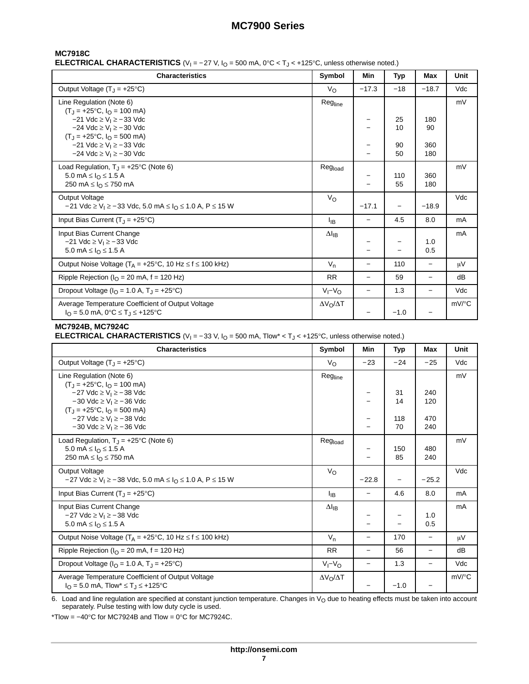## **MC7918C**

**ELECTRICAL CHARACTERISTICS** (V<sub>I</sub> = −27 V, I<sub>O</sub> = 500 mA, 0°C < T<sub>J</sub> < +125°C, unless otherwise noted.)

| <b>Characteristics</b>                                                                                                                                 | Symbol                  | Min                      | <b>Typ</b> | Max                      | Unit                |
|--------------------------------------------------------------------------------------------------------------------------------------------------------|-------------------------|--------------------------|------------|--------------------------|---------------------|
| Output Voltage $(T_1 = +25^{\circ}C)$                                                                                                                  | $V_{\rm O}$             | $-17.3$                  | $-18$      | $-18.7$                  | Vdc                 |
| Line Regulation (Note 6)<br>$(T_J = +25^{\circ}C, I_{O} = 100 \text{ mA})$                                                                             | Regline                 |                          |            |                          | mV                  |
| $-21$ Vdc $\geq$ V <sub>I</sub> $\geq$ $-33$ Vdc<br>$-24$ Vdc $\geq$ V <sub>1</sub> $\geq$ - 30 Vdc                                                    |                         |                          | 25<br>10   | 180<br>90                |                     |
| $(T_J = +25^{\circ}C, I_{O} = 500 \text{ mA})$<br>$-21$ Vdc $\geq$ V <sub>1</sub> $\geq$ $-33$ Vdc<br>$-24$ Vdc $\geq$ V <sub>1</sub> $\geq$ $-30$ Vdc |                         |                          | 90<br>50   | 360<br>180               |                     |
| Load Regulation, $T_J = +25^{\circ}C$ (Note 6)<br>5.0 mA $\leq I_{\Omega} \leq 1.5$ A<br>250 mA $\leq$ $IO$ $\leq$ 750 mA                              | Regload                 |                          | 110<br>55  | 360<br>180               | mV                  |
| <b>Output Voltage</b><br>$-21$ Vdc ≥ V <sub>1</sub> ≥ $-33$ Vdc, 5.0 mA ≤ I <sub>O</sub> ≤ 1.0 A, P ≤ 15 W                                             | $V_{\rm O}$             | $-17.1$                  |            | $-18.9$                  | Vdc                 |
| Input Bias Current $(T_1 = +25^{\circ}C)$                                                                                                              | Iв                      |                          | 4.5        | 8.0                      | mA                  |
| Input Bias Current Change<br>$-21$ Vdc $\geq$ V <sub>1</sub> $\geq$ $-33$ Vdc<br>5.0 mA $\leq$ $I_{\Omega} \leq 1.5$ A                                 | $\Delta I_{IB}$         |                          |            | 1.0<br>0.5               | mA                  |
| Output Noise Voltage ( $T_A = +25$ °C, 10 Hz $\le f \le 100$ kHz)                                                                                      | $V_n$                   | $\overline{\phantom{0}}$ | 110        | $\overline{\phantom{0}}$ | μV                  |
| Ripple Rejection ( $IO$ = 20 mA, f = 120 Hz)                                                                                                           | <b>RR</b>               | $\overline{\phantom{0}}$ | 59         | $\overline{\phantom{0}}$ | dB                  |
| Dropout Voltage ( $I_{\Omega}$ = 1.0 A, T <sub>1</sub> = +25°C)                                                                                        | $V_I - V_O$             | $\overline{\phantom{0}}$ | 1.3        | $\overline{\phantom{0}}$ | Vdc                 |
| Average Temperature Coefficient of Output Voltage<br>$I_{\Omega} = 5.0$ mA, $0^{\circ}C \le T_{\Omega} \le +125^{\circ}C$                              | $\Delta V_O / \Delta T$ |                          | $-1.0$     |                          | $mV$ <sup>o</sup> C |

## **MC7924B, MC7924C**

**ELECTRICAL CHARACTERISTICS** (V<sub>I</sub> = −33 V, I<sub>O</sub> = 500 mA, Tlow\* < T<sub>J</sub> < +125°C, unless otherwise noted.)

| <b>Characteristics</b>                                                                                                                 | Symbol                | Min               | Typ       | Max                      | Unit                |
|----------------------------------------------------------------------------------------------------------------------------------------|-----------------------|-------------------|-----------|--------------------------|---------------------|
| Output Voltage $(T_J = +25^{\circ}C)$                                                                                                  | $V_{\Omega}$          | $-23$             | $-24$     | $-25$                    | Vdc                 |
| Line Regulation (Note 6)<br>$(T_J = +25^{\circ}C, I_{O} = 100 \text{ mA})$                                                             | Regline               |                   |           |                          | mV                  |
| $-27$ Vdc $\geq$ V <sub>I</sub> $\geq$ $-38$ Vdc<br>$-30$ Vdc $\geq$ V <sub>1</sub> $\geq -36$ Vdc<br>$(T_J = +25$ °C, $I_O = 500$ mA) |                       |                   | 31<br>14  | 240<br>120               |                     |
| $-27$ Vdc $\geq$ V <sub>i</sub> $\geq$ $-38$ Vdc<br>$-30$ Vdc $\geq$ V <sub>1</sub> $\geq -36$ Vdc                                     |                       |                   | 118<br>70 | 470<br>240               |                     |
| Load Regulation, $T_J = +25^{\circ}C$ (Note 6)<br>5.0 mA $\leq$ $I_{\odot}$ $\leq$ 1.5 A<br>250 mA $\leq$ $IQ \leq$ 750 mA             | Regload               |                   | 150<br>85 | 480<br>240               | mV                  |
| <b>Output Voltage</b><br>$-27$ Vdc $\geq$ V <sub>1</sub> $\geq$ -38 Vdc, 5.0 mA $\leq$ I <sub>O</sub> $\leq$ 1.0 A, P $\leq$ 15 W      | $V_{\rm O}$           | $-22.8$           |           | $-25.2$                  | Vdc                 |
| Input Bias Current $(T_J = +25^{\circ}C)$                                                                                              | ŀв                    | $\qquad \qquad -$ | 4.6       | 8.0                      | mA                  |
| Input Bias Current Change<br>$-27$ Vdc $\geq$ V <sub>I</sub> $\geq$ $-38$ Vdc<br>5.0 mA $\leq$ $I_{\odot}$ $\leq$ 1.5 A                | $\Delta I_{IB}$       |                   |           | 1.0<br>0.5               | mA                  |
| Output Noise Voltage ( $T_A = +25$ °C, 10 Hz $\leq f \leq 100$ kHz)                                                                    | $V_n$                 | $\qquad \qquad -$ | 170       |                          | μV                  |
| Ripple Rejection ( $I_{\Omega}$ = 20 mA, f = 120 Hz)                                                                                   | <b>RR</b>             | $\qquad \qquad -$ | 56        | $\overline{\phantom{0}}$ | dB                  |
| Dropout Voltage ( $IO = 1.0$ A, $TJ = +25$ °C)                                                                                         | $V_I - V_O$           | -                 | 1.3       | $\qquad \qquad -$        | Vdc                 |
| Average Temperature Coefficient of Output Voltage<br>$I_{\Omega} = 5.0$ mA, Tlow <sup>*</sup> $\leq T_{\text{J}} \leq +125$ °C         | $\Delta V_O/\Delta T$ |                   | $-1.0$    |                          | $mV$ <sup>o</sup> C |

6. Load and line regulation are specified at constant junction temperature. Changes in V<sub>O</sub> due to heating effects must be taken into account<br>separately. Pulse testing with low duty cycle is used.

\*Tlow =  $-40^{\circ}$ C for MC7924B and Tlow =  $0^{\circ}$ C for MC7924C.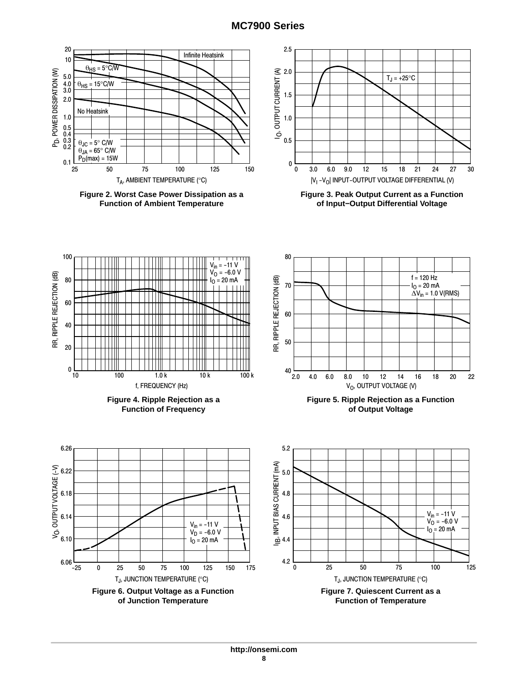

**Figure 2. Worst Case Power Dissipation as a Function of Ambient Temperature**



**Figure 3. Peak Output Current as a Function of Input−Output Differential Voltage**

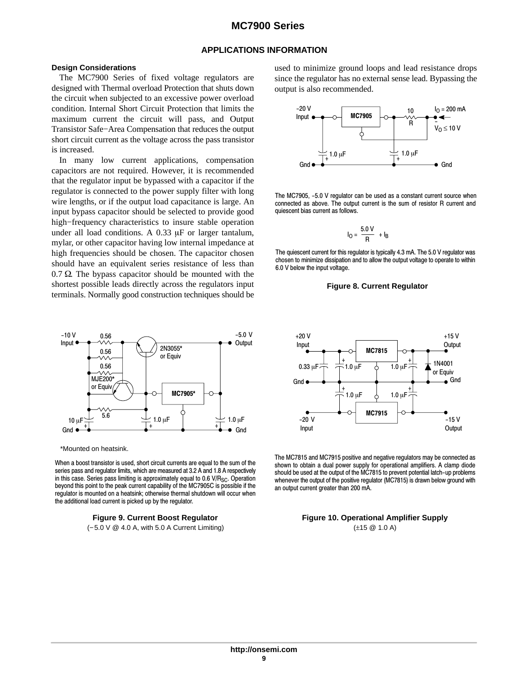#### **APPLICATIONS INFORMATION**

#### **Design Considerations**

The MC7900 Series of fixed voltage regulators are designed with Thermal overload Protection that shuts down the circuit when subjected to an excessive power overload condition. Internal Short Circuit Protection that limits the maximum current the circuit will pass, and Output Transistor Safe−Area Compensation that reduces the output short circuit current as the voltage across the pass transistor is increased.

In many low current applications, compensation capacitors are not required. However, it is recommended that the regulator input be bypassed with a capacitor if the regulator is connected to the power supply filter with long wire lengths, or if the output load capacitance is large. An input bypass capacitor should be selected to provide good high−frequency characteristics to insure stable operation under all load conditions. A  $0.33 \mu$ F or larger tantalum, mylar, or other capacitor having low internal impedance at high frequencies should be chosen. The capacitor chosen should have an equivalent series resistance of less than  $0.7 \Omega$ . The bypass capacitor should be mounted with the shortest possible leads directly across the regulators input terminals. Normally good construction techniques should be



\*Mounted on heatsink.

When a boost transistor is used, short circuit currents are equal to the sum of the series pass and regulator limits, which are measured at 3.2 A and 1.8 A respectively in this case. Series pass limiting is approximately equal to  $0.6$  V/R<sub>SC</sub>. Operation beyond this point to the peak current capability of the MC7905C is possible if the regulator is mounted on a heatsink; otherwise thermal shutdown will occur when the additional load current is picked up by the regulator.

#### **Figure 9. Current Boost Regulator**

(−5.0 V @ 4.0 A, with 5.0 A Current Limiting)

used to minimize ground loops and lead resistance drops since the regulator has no external sense lead. Bypassing the output is also recommended.



The MC7905, -5.0 V regulator can be used as a constant current source when connected as above. The output current is the sum of resistor R current and quiescent bias current as follows.

$$
I_0 = \frac{5.0 \text{ V}}{R} + I_B
$$

The quiescent current for this regulator is typically 4.3 mA. The 5.0 V regulator was chosen to minimize dissipation and to allow the output voltage to operate to within 6.0 V below the input voltage.





The MC7815 and MC7915 positive and negative regulators may be connected as shown to obtain a dual power supply for operational amplifiers. A clamp diode should be used at the output of the MC7815 to prevent potential latch−up problems whenever the output of the positive regulator (MC7815) is drawn below ground with an output current greater than 200 mA.

**Figure 10. Operational Amplifier Supply** (±15 @ 1.0 A)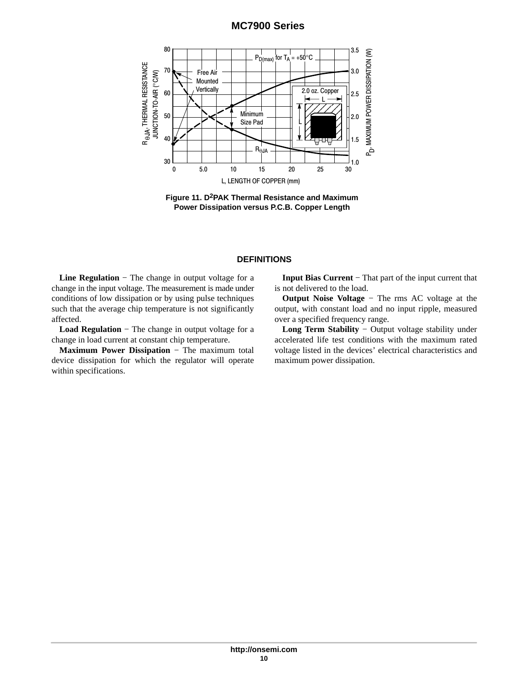

**Figure 11. D2PAK Thermal Resistance and Maximum Power Dissipation versus P.C.B. Copper Length**

## **DEFINITIONS**

**Line Regulation** − The change in output voltage for a change in the input voltage. The measurement is made under conditions of low dissipation or by using pulse techniques such that the average chip temperature is not significantly affected.

**Load Regulation** − The change in output voltage for a change in load current at constant chip temperature.

**Maximum Power Dissipation** − The maximum total device dissipation for which the regulator will operate within specifications.

**Input Bias Current** − That part of the input current that is not delivered to the load.

**Output Noise Voltage** − The rms AC voltage at the output, with constant load and no input ripple, measured over a specified frequency range.

**Long Term Stability** − Output voltage stability under accelerated life test conditions with the maximum rated voltage listed in the devices' electrical characteristics and maximum power dissipation.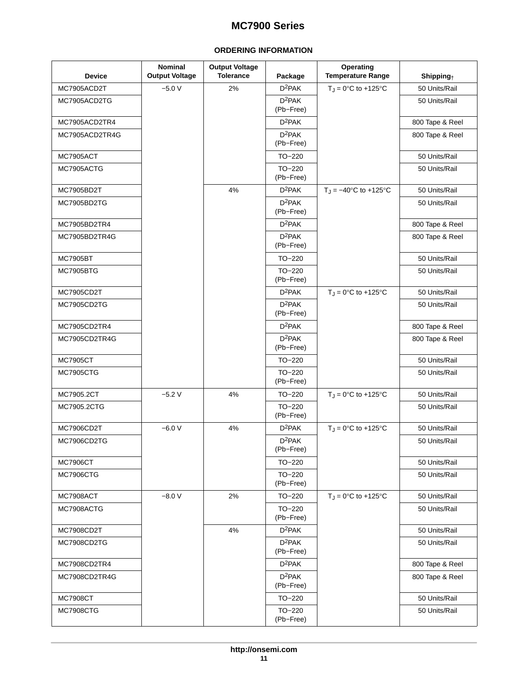## **ORDERING INFORMATION**

<span id="page-10-0"></span>

| <b>Device</b>    | <b>Nominal</b><br><b>Output Voltage</b> | <b>Output Voltage</b><br><b>Tolerance</b> | Package               | Operating<br><b>Temperature Range</b> | Shipping <sub>†</sub> |
|------------------|-----------------------------------------|-------------------------------------------|-----------------------|---------------------------------------|-----------------------|
| MC7905ACD2T      | $-5.0V$                                 | 2%                                        | $D^2PAK$              | $T_J = 0^\circ \text{C}$ to +125°C    | 50 Units/Rail         |
| MC7905ACD2TG     |                                         |                                           | $D^2PAK$<br>(Pb-Free) |                                       | 50 Units/Rail         |
| MC7905ACD2TR4    |                                         |                                           | $D^2PAK$              |                                       | 800 Tape & Reel       |
| MC7905ACD2TR4G   |                                         |                                           | $D^2PAK$<br>(Pb-Free) |                                       | 800 Tape & Reel       |
| MC7905ACT        |                                         |                                           | TO-220                |                                       | 50 Units/Rail         |
| MC7905ACTG       |                                         |                                           | TO-220<br>(Pb-Free)   |                                       | 50 Units/Rail         |
| MC7905BD2T       |                                         | 4%                                        | $D^2PAK$              | $T_J = -40$ °C to +125°C              | 50 Units/Rail         |
| MC7905BD2TG      |                                         |                                           | $D^2PAK$<br>(Pb-Free) |                                       | 50 Units/Rail         |
| MC7905BD2TR4     |                                         |                                           | $D^2PAK$              |                                       | 800 Tape & Reel       |
| MC7905BD2TR4G    |                                         |                                           | $D^2PAK$<br>(Pb-Free) |                                       | 800 Tape & Reel       |
| <b>MC7905BT</b>  |                                         |                                           | TO-220                |                                       | 50 Units/Rail         |
| <b>MC7905BTG</b> |                                         |                                           | TO-220<br>(Pb-Free)   |                                       | 50 Units/Rail         |
| MC7905CD2T       |                                         |                                           | $D^2PAK$              | $T_J = 0$ °C to +125°C                | 50 Units/Rail         |
| MC7905CD2TG      |                                         |                                           | $D^2PAK$<br>(Pb-Free) |                                       | 50 Units/Rail         |
| MC7905CD2TR4     |                                         |                                           | $D^2PAK$              |                                       | 800 Tape & Reel       |
| MC7905CD2TR4G    |                                         |                                           | $D^2PAK$<br>(Pb-Free) |                                       | 800 Tape & Reel       |
| <b>MC7905CT</b>  |                                         |                                           | TO-220                |                                       | 50 Units/Rail         |
| <b>MC7905CTG</b> |                                         |                                           | TO-220<br>(Pb-Free)   |                                       | 50 Units/Rail         |
| MC7905.2CT       | $-5.2V$                                 | 4%                                        | TO-220                | $T_{\text{J}} = 0^{\circ}C$ to +125°C | 50 Units/Rail         |
| MC7905.2CTG      |                                         |                                           | TO-220<br>(Pb-Free)   |                                       | 50 Units/Rail         |
| MC7906CD2T       | $-6.0V$                                 | 4%                                        | $D^2PAK$              | $T_J = 0^\circ C$ to +125°C           | 50 Units/Rail         |
| MC7906CD2TG      |                                         |                                           | $D^2PAK$<br>(Pb-Free) |                                       | 50 Units/Rail         |
| <b>MC7906CT</b>  |                                         |                                           | TO-220                |                                       | 50 Units/Rail         |
| <b>MC7906CTG</b> |                                         |                                           | TO-220<br>(Pb-Free)   |                                       | 50 Units/Rail         |
| MC7908ACT        | $-8.0 V$                                | 2%                                        | TO-220                | $T_J = 0$ °C to +125°C                | 50 Units/Rail         |
| MC7908ACTG       |                                         |                                           | $TO-220$<br>(Pb-Free) |                                       | 50 Units/Rail         |
| MC7908CD2T       |                                         | 4%                                        | $D^2$ PAK             |                                       | 50 Units/Rail         |
| MC7908CD2TG      |                                         |                                           | $D^2PAK$<br>(Pb-Free) |                                       | 50 Units/Rail         |
| MC7908CD2TR4     |                                         |                                           | $D^2$ PAK             |                                       | 800 Tape & Reel       |
| MC7908CD2TR4G    |                                         |                                           | $D^2PAK$<br>(Pb-Free) |                                       | 800 Tape & Reel       |
| <b>MC7908CT</b>  |                                         |                                           | TO-220                |                                       | 50 Units/Rail         |
| <b>MC7908CTG</b> |                                         |                                           | $TO-220$<br>(Pb-Free) |                                       | 50 Units/Rail         |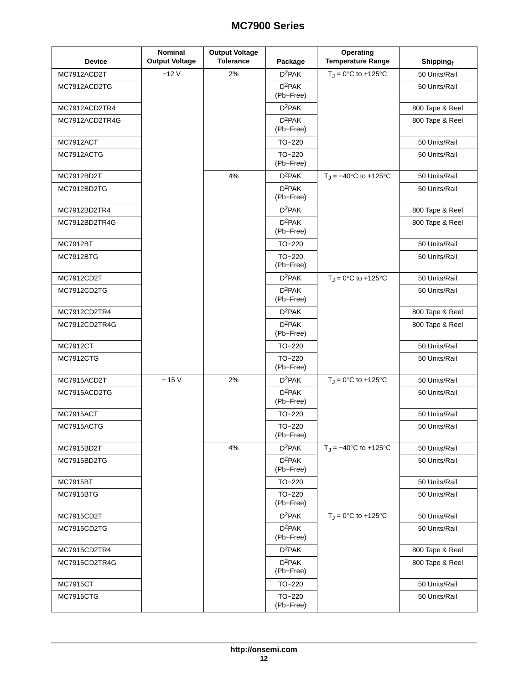| <b>Device</b>    | <b>Nominal</b><br><b>Output Voltage</b> | <b>Output Voltage</b><br><b>Tolerance</b> | Package                         | Operating<br><b>Temperature Range</b> | $\mathsf{Shipping}_+$ |
|------------------|-----------------------------------------|-------------------------------------------|---------------------------------|---------------------------------------|-----------------------|
| MC7912ACD2T      | $-12V$                                  | 2%                                        | $D^2PAK$                        | $T_J = 0$ °C to +125°C                | 50 Units/Rail         |
| MC7912ACD2TG     |                                         |                                           | $D^2PAK$<br>(Pb-Free)           |                                       | 50 Units/Rail         |
| MC7912ACD2TR4    |                                         |                                           | $D^2PAK$                        |                                       | 800 Tape & Reel       |
| MC7912ACD2TR4G   |                                         |                                           | $D^2PAK$<br>(Pb-Free)           |                                       | 800 Tape & Reel       |
| MC7912ACT        |                                         |                                           | TO-220                          |                                       | 50 Units/Rail         |
| MC7912ACTG       |                                         |                                           | $TO-220$<br>(Pb-Free)           |                                       | 50 Units/Rail         |
| MC7912BD2T       |                                         | 4%                                        | $D^2PAK$                        | $T_J = -40$ °C to +125°C              | 50 Units/Rail         |
| MC7912BD2TG      |                                         |                                           | $D^2PAK$<br>(Pb-Free)           |                                       | 50 Units/Rail         |
| MC7912BD2TR4     |                                         |                                           | D <sup>2</sup> PAK              |                                       | 800 Tape & Reel       |
| MC7912BD2TR4G    |                                         |                                           | $D^2PAK$<br>(Pb-Free)           |                                       | 800 Tape & Reel       |
| <b>MC7912BT</b>  |                                         |                                           | TO-220                          |                                       | 50 Units/Rail         |
| MC7912BTG        |                                         |                                           | $TO-220$<br>(Pb-Free)           |                                       | 50 Units/Rail         |
| MC7912CD2T       |                                         |                                           | $D^2PAK$                        | $T_J = 0$ °C to +125°C                | 50 Units/Rail         |
| MC7912CD2TG      |                                         |                                           | $D^2PAK$<br>(Pb-Free)           |                                       | 50 Units/Rail         |
| MC7912CD2TR4     |                                         |                                           | $D^2PAK$                        |                                       | 800 Tape & Reel       |
| MC7912CD2TR4G    |                                         |                                           | $D^2PAK$<br>(Pb-Free)           |                                       | 800 Tape & Reel       |
| <b>MC7912CT</b>  |                                         |                                           | TO-220                          |                                       | 50 Units/Rail         |
| <b>MC7912CTG</b> |                                         |                                           | TO-220<br>(Pb-Free)             |                                       | 50 Units/Rail         |
| MC7915ACD2T      | $-15V$                                  | 2%                                        | $D^2PAK$                        | $T_{\text{J}} = 0^{\circ}C$ to +125°C | 50 Units/Rail         |
| MC7915ACD2TG     |                                         |                                           | $D^2PAK$<br>(Pb-Free)           |                                       | 50 Units/Rail         |
| MC7915ACT        |                                         |                                           | TO-220                          |                                       | 50 Units/Rail         |
| MC7915ACTG       |                                         |                                           | TO-220<br>(Pb-Free)             |                                       | 50 Units/Rail         |
| MC7915BD2T       |                                         | 4%                                        | $D^2PAK$                        | $T_J = -40$ °C to +125°C              | 50 Units/Rail         |
| MC7915BD2TG      |                                         |                                           | $D^2PAK$<br>(Pb-Free)           |                                       | 50 Units/Rail         |
| <b>MC7915BT</b>  |                                         |                                           | TO-220                          |                                       | 50 Units/Rail         |
| MC7915BTG        |                                         |                                           | $TO-220$<br>(Pb-Free)           |                                       | 50 Units/Rail         |
| MC7915CD2T       |                                         |                                           | $D^2PAK$                        | $T_J = 0^\circ \text{C}$ to +125°C    | 50 Units/Rail         |
| MC7915CD2TG      |                                         |                                           | D <sup>2</sup> PAK<br>(Pb-Free) |                                       | 50 Units/Rail         |
| MC7915CD2TR4     |                                         |                                           | $D^2PAK$                        |                                       | 800 Tape & Reel       |
| MC7915CD2TR4G    |                                         |                                           | $D^2PAK$<br>(Pb-Free)           |                                       | 800 Tape & Reel       |
| <b>MC7915CT</b>  |                                         |                                           | TO-220                          |                                       | 50 Units/Rail         |
| <b>MC7915CTG</b> |                                         |                                           | $TO-220$<br>(Pb-Free)           |                                       | 50 Units/Rail         |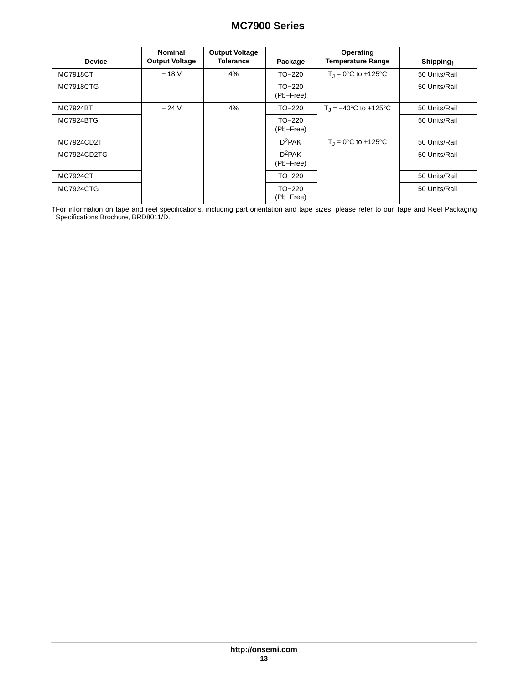| <b>Device</b>    | <b>Nominal</b><br><b>Output Voltage</b> | <b>Output Voltage</b><br><b>Tolerance</b> | Package               | Operating<br><b>Temperature Range</b> | $\mathsf{Shipping}_+$ |
|------------------|-----------------------------------------|-------------------------------------------|-----------------------|---------------------------------------|-----------------------|
| <b>MC7918CT</b>  | $-18V$                                  | 4%                                        | $TO-220$              | $T_1 = 0$ °C to +125°C                | 50 Units/Rail         |
| <b>MC7918CTG</b> |                                         |                                           | $TO-220$<br>(Pb-Free) |                                       | 50 Units/Rail         |
| <b>MC7924BT</b>  | $-24V$                                  | 4%                                        | TO-220                | $T_1 = -40^{\circ}C$ to +125 °C       | 50 Units/Rail         |
| <b>MC7924BTG</b> |                                         |                                           | TO-220<br>(Pb-Free)   |                                       | 50 Units/Rail         |
| MC7924CD2T       |                                         |                                           | $D^2PAK$              | $T_1 = 0$ °C to +125°C                | 50 Units/Rail         |
| MC7924CD2TG      |                                         |                                           | $D^2PAK$<br>(Pb-Free) |                                       | 50 Units/Rail         |
| <b>MC7924CT</b>  |                                         |                                           | TO-220                |                                       | 50 Units/Rail         |
| <b>MC7924CTG</b> |                                         |                                           | TO-220<br>(Pb-Free)   |                                       | 50 Units/Rail         |

†For information on tape and reel specifications, including part orientation and tape sizes, please refer to our Tape and Reel Packaging Specifications Brochure, BRD8011/D.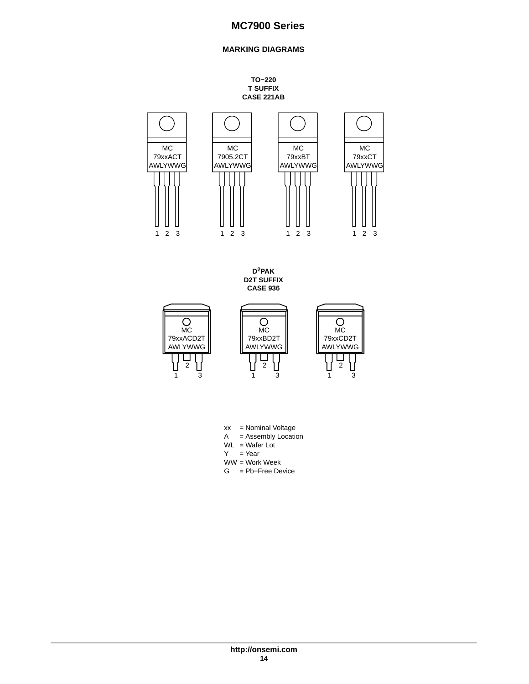## **MARKING DIAGRAMS**

**TO−220 T SUFFIX CASE 221AB**

<span id="page-13-0"></span>

**D2PAK D2T SUFFIX CASE 936**



- xx = Nominal Voltage
- $A =$  Assembly Location
- $WL = Water$  Lot  $Y = Year$
- WW = Work Week
- G = Pb−Free Device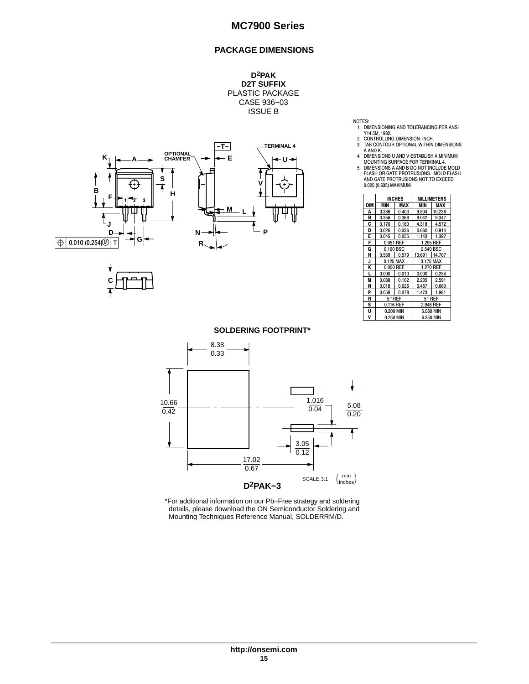## **PACKAGE DIMENSIONS**

**D2PAK D2T SUFFIX** PLASTIC PACKAGE CASE 936−03 ISSUE B





- 
- 
- 
- 
- NOTES:<br>
1. DIMENSIONING AND TOLERANCING PER ANSI<br>
2. CONTROLLING DIMENSION: INCH.<br>
3. TAR CONTOUR OPTIONAL WITHIN DIMENSIONS<br>
4. AND K.<br>
4. DIMENSIONS U AND V ESTABLISH A MINIMUM<br>
4. DIMENSIONS U AND V ESTABLISH A MINIMUM<br>

|            |                 | <b>INCHES</b> | MILLIMETERS |                 |  |
|------------|-----------------|---------------|-------------|-----------------|--|
| <b>DIM</b> | MIN             | MAX           | MIN         | MAX             |  |
| A          | 0.386           | 0.403         | 9.804       | 10.236          |  |
| в          | 0.356           | 0.368         | 9.042       | 9.347           |  |
| C          | 0.170           | 0.180         | 4.318       | 4.572           |  |
| D          | 0.026           | 0.036         | 0.660       | 0.914           |  |
| E          | 0.045           | 0.055         | 1.143       | 1.397           |  |
| F          | 0.051           | REF           | 1.295 REF   |                 |  |
| G          | 0.100 BSC       |               | 2.540 BSC   |                 |  |
| н          | 0.539           | 0.579         | 13.691      | 14.707          |  |
| J          |                 | 0.125 MAX     | 3.175 MAX   |                 |  |
| K          | 0.050 REF       |               | 1.270 REF   |                 |  |
| L          | 0.000           | 0.010         | 0.000       | 0.254           |  |
| M          | 0.088           | 0.102         | 2.235       | 2.591           |  |
| N          | 0.018           | 0.026         | 0.457       | 0.660           |  |
| P          | 0.058           | 0.078         | 1.473       | 1.981           |  |
| R          | $5^{\circ}$ REF |               |             | $5^{\circ}$ REF |  |
| S          | 0.116 REF       |               | 2.946 REF   |                 |  |
| U          | 0.200 MIN       |               | 5.080 MIN   |                 |  |
| V          | 0.250 MIN       |               | 6.350 MIN   |                 |  |

#### **SOLDERING FOOTPRINT\***



\*For additional information on our Pb−Free strategy and soldering details, please download the ON Semiconductor Soldering and Mounting Techniques Reference Manual, SOLDERRM/D.